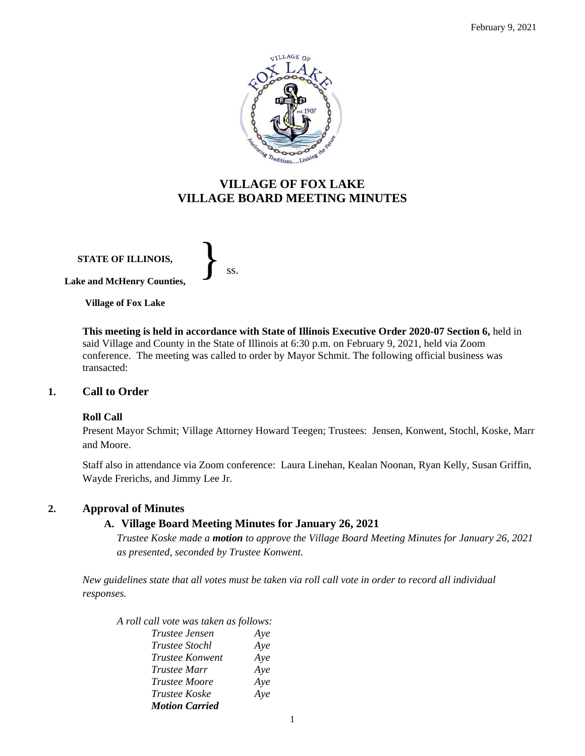

## **VILLAGE OF FOX LAKE VILLAGE BOARD MEETING MINUTES**

**STATE OF ILLINOIS, Lake and McHenry Counties,**  }<br>*ss.* 

**Village of Fox Lake**

**This meeting is held in accordance with State of Illinois Executive Order 2020-07 Section 6,** held in said Village and County in the State of Illinois at 6:30 p.m. on February 9, 2021, held via Zoom conference. The meeting was called to order by Mayor Schmit. The following official business was transacted:

### **1. Call to Order**

### **Roll Call**

Present Mayor Schmit; Village Attorney Howard Teegen; Trustees: Jensen, Konwent, Stochl, Koske, Marr and Moore.

Staff also in attendance via Zoom conference: Laura Linehan, Kealan Noonan, Ryan Kelly, Susan Griffin, Wayde Frerichs, and Jimmy Lee Jr.

### **2. Approval of Minutes**

### **A. Village Board Meeting Minutes for January 26, 2021**

*Trustee Koske made a motion to approve the Village Board Meeting Minutes for January 26, 2021 as presented, seconded by Trustee Konwent.* 

*New guidelines state that all votes must be taken via roll call vote in order to record all individual responses.* 

- *A roll call vote was taken as follows: Trustee Jensen Aye Trustee Stochl Aye Trustee Konwent Aye Trustee Marr Aye*
	- *Trustee Moore Aye Trustee Koske Aye Motion Carried*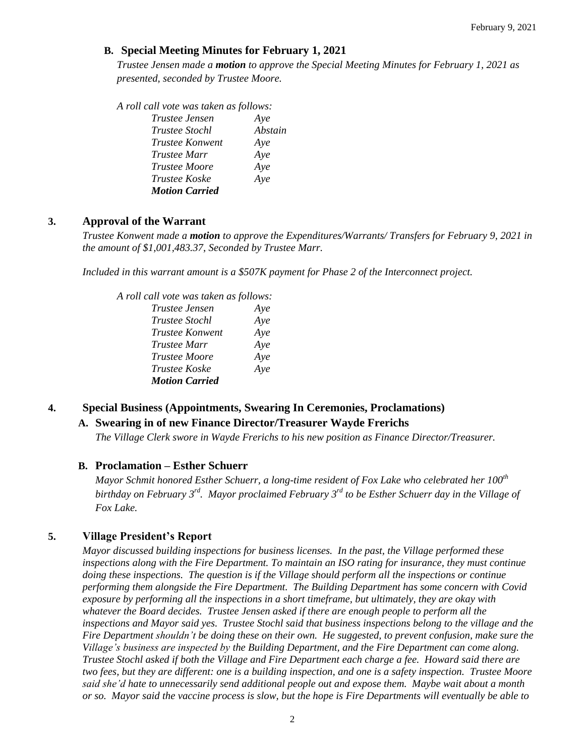### **B. Special Meeting Minutes for February 1, 2021**

*Trustee Jensen made a motion to approve the Special Meeting Minutes for February 1, 2021 as presented, seconded by Trustee Moore.* 

*A roll call vote was taken as follows:* 

| <i>Trustee Jensen</i> | Ave     |
|-----------------------|---------|
| <i>Trustee Stochl</i> | Abstain |
| Trustee Konwent       | Aye     |
| <i>Trustee Marr</i>   | Aye     |
| Trustee Moore         | Aye     |
| Trustee Koske         | Aye     |
| <b>Motion Carried</b> |         |

### **3. Approval of the Warrant**

*Trustee Konwent made a motion to approve the Expenditures/Warrants/ Transfers for February 9, 2021 in the amount of \$1,001,483.37, Seconded by Trustee Marr.*

*Included in this warrant amount is a \$507K payment for Phase 2 of the Interconnect project.*

| A roll call vote was taken as follows: |     |
|----------------------------------------|-----|
| <i>Trustee Jensen</i>                  | Aye |
| <i>Trustee Stochl</i>                  | Aye |
| <i>Trustee Konwent</i>                 | Aye |
| <i>Trustee Marr</i>                    | Aye |
| <b>Trustee Moore</b>                   | Aye |
| Trustee Koske                          | Aye |
| <b>Motion Carried</b>                  |     |

## **4. Special Business (Appointments, Swearing In Ceremonies, Proclamations)**

### **A. Swearing in of new Finance Director/Treasurer Wayde Frerichs**

*The Village Clerk swore in Wayde Frerichs to his new position as Finance Director/Treasurer.*

### **B. Proclamation – Esther Schuerr**

*Mayor Schmit honored Esther Schuerr, a long-time resident of Fox Lake who celebrated her 100th birthday on February 3rd . Mayor proclaimed February 3rd to be Esther Schuerr day in the Village of Fox Lake.*

### **5. Village President's Report**

*Mayor discussed building inspections for business licenses. In the past, the Village performed these inspections along with the Fire Department. To maintain an ISO rating for insurance, they must continue doing these inspections. The question is if the Village should perform all the inspections or continue performing them alongside the Fire Department. The Building Department has some concern with Covid exposure by performing all the inspections in a short timeframe, but ultimately, they are okay with whatever the Board decides. Trustee Jensen asked if there are enough people to perform all the inspections and Mayor said yes. Trustee Stochl said that business inspections belong to the village and the Fire Department shouldn't be doing these on their own. He suggested, to prevent confusion, make sure the Village's business are inspected by the Building Department, and the Fire Department can come along. Trustee Stochl asked if both the Village and Fire Department each charge a fee. Howard said there are two fees, but they are different: one is a building inspection, and one is a safety inspection. Trustee Moore said she'd hate to unnecessarily send additional people out and expose them. Maybe wait about a month or so. Mayor said the vaccine process is slow, but the hope is Fire Departments will eventually be able to*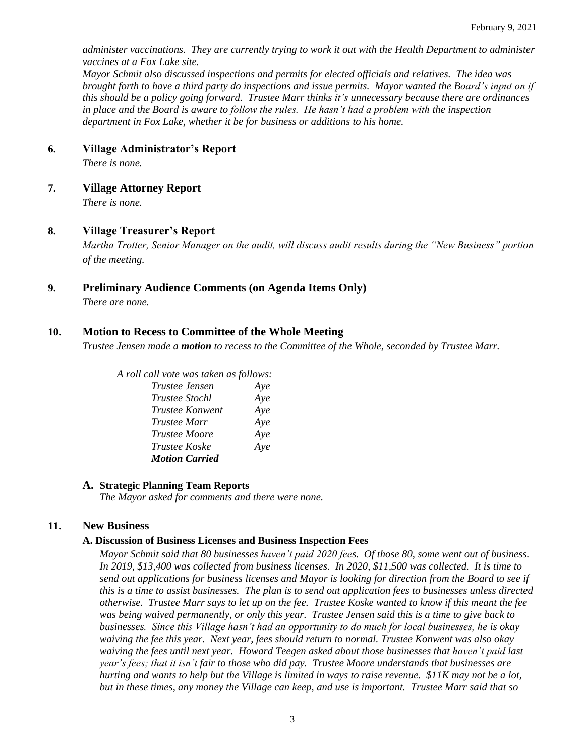*administer vaccinations. They are currently trying to work it out with the Health Department to administer vaccines at a Fox Lake site.* 

*Mayor Schmit also discussed inspections and permits for elected officials and relatives. The idea was brought forth to have a third party do inspections and issue permits. Mayor wanted the Board's input on if this should be a policy going forward. Trustee Marr thinks it's unnecessary because there are ordinances in place and the Board is aware to follow the rules. He hasn't had a problem with the inspection department in Fox Lake, whether it be for business or additions to his home.* 

### **6. Village Administrator's Report**

*There is none.*

**7. Village Attorney Report**

*There is none.*

### **8. Village Treasurer's Report**

*Martha Trotter, Senior Manager on the audit, will discuss audit results during the "New Business" portion of the meeting.*

### **9. Preliminary Audience Comments (on Agenda Items Only)**

*There are none.* 

### **10. Motion to Recess to Committee of the Whole Meeting**

*Trustee Jensen made a motion to recess to the Committee of the Whole, seconded by Trustee Marr.* 

# *A roll call vote was taken as follows:*

| Trustee Jensen        | Aye |
|-----------------------|-----|
| <b>Trustee Stochl</b> | Aye |
| Trustee Konwent       | Aye |
| <i>Trustee Marr</i>   | Aye |
| <i>Trustee Moore</i>  | Aye |
| <i>Trustee Koske</i>  | Aye |
| <b>Motion Carried</b> |     |

### **A. Strategic Planning Team Reports**

*The Mayor asked for comments and there were none.*

### **11. New Business**

### **A. Discussion of Business Licenses and Business Inspection Fees**

*Mayor Schmit said that 80 businesses haven't paid 2020 fees. Of those 80, some went out of business. In 2019, \$13,400 was collected from business licenses. In 2020, \$11,500 was collected. It is time to send out applications for business licenses and Mayor is looking for direction from the Board to see if this is a time to assist businesses. The plan is to send out application fees to businesses unless directed otherwise. Trustee Marr says to let up on the fee. Trustee Koske wanted to know if this meant the fee was being waived permanently, or only this year. Trustee Jensen said this is a time to give back to businesses. Since this Village hasn't had an opportunity to do much for local businesses, he is okay waiving the fee this year. Next year, fees should return to normal. Trustee Konwent was also okay waiving the fees until next year. Howard Teegen asked about those businesses that haven't paid last year's fees; that it isn't fair to those who did pay. Trustee Moore understands that businesses are hurting and wants to help but the Village is limited in ways to raise revenue. \$11K may not be a lot, but in these times, any money the Village can keep, and use is important. Trustee Marr said that so*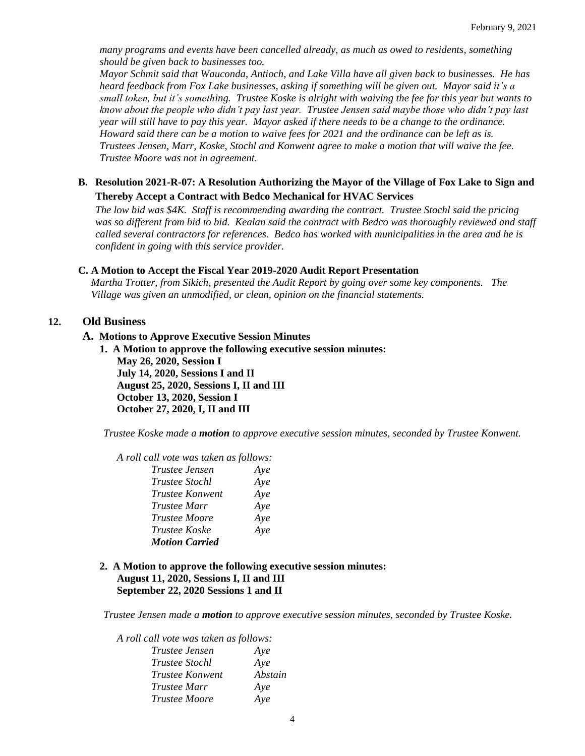*many programs and events have been cancelled already, as much as owed to residents, something should be given back to businesses too.* 

*Mayor Schmit said that Wauconda, Antioch, and Lake Villa have all given back to businesses. He has heard feedback from Fox Lake businesses, asking if something will be given out. Mayor said it's a small token, but it's something. Trustee Koske is alright with waiving the fee for this year but wants to know about the people who didn't pay last year. Trustee Jensen said maybe those who didn't pay last year will still have to pay this year. Mayor asked if there needs to be a change to the ordinance. Howard said there can be a motion to waive fees for 2021 and the ordinance can be left as is. Trustees Jensen, Marr, Koske, Stochl and Konwent agree to make a motion that will waive the fee. Trustee Moore was not in agreement.* 

### **B. Resolution 2021-R-07: A Resolution Authorizing the Mayor of the Village of Fox Lake to Sign and Thereby Accept a Contract with Bedco Mechanical for HVAC Services**

*The low bid was \$4K. Staff is recommending awarding the contract. Trustee Stochl said the pricing was so different from bid to bid. Kealan said the contract with Bedco was thoroughly reviewed and staff called several contractors for references. Bedco has worked with municipalities in the area and he is confident in going with this service provider.* 

### **C. A Motion to Accept the Fiscal Year 2019-2020 Audit Report Presentation**

*Martha Trotter, from Sikich, presented the Audit Report by going over some key components. The Village was given an unmodified, or clean, opinion on the financial statements.* 

### **12. Old Business**

#### **A. Motions to Approve Executive Session Minutes**

**1. A Motion to approve the following executive session minutes: May 26, 2020, Session I July 14, 2020, Sessions I and II August 25, 2020, Sessions I, II and III October 13, 2020, Session I October 27, 2020, I, II and III**

*Trustee Koske made a motion to approve executive session minutes, seconded by Trustee Konwent.* 

*A roll call vote was taken as follows:* 

| Trustee Jensen         | Aye |
|------------------------|-----|
| <i>Trustee Stochl</i>  | Aye |
| <i>Trustee Konwent</i> | Aye |
| Trustee Marr           | Aye |
| <b>Trustee Moore</b>   | Aye |
| Trustee Koske          | Aye |
| <b>Motion Carried</b>  |     |

#### **2. A Motion to approve the following executive session minutes: August 11, 2020, Sessions I, II and III September 22, 2020 Sessions 1 and II**

*Trustee Jensen made a motion to approve executive session minutes, seconded by Trustee Koske.* 

*A roll call vote was taken as follows:* 

| <i>Trustee Jensen</i>  | Aye     |
|------------------------|---------|
| <i>Trustee Stochl</i>  | Aye     |
| <i>Trustee Konwent</i> | Abstain |
| <i>Trustee Marr</i>    | Aye     |
| <i>Trustee Moore</i>   | Aye     |
|                        |         |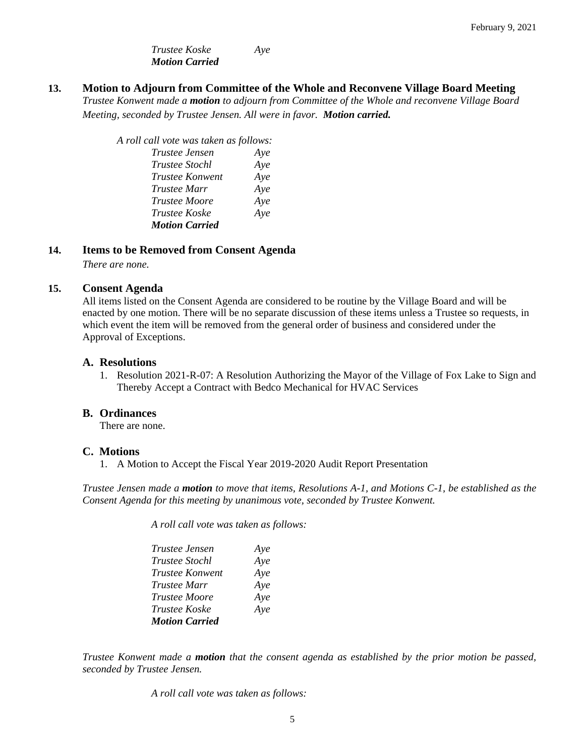*Trustee Koske Aye Motion Carried*

**13. Motion to Adjourn from Committee of the Whole and Reconvene Village Board Meeting**

*Trustee Konwent made a motion to adjourn from Committee of the Whole and reconvene Village Board Meeting, seconded by Trustee Jensen. All were in favor. Motion carried.* 

*A roll call vote was taken as follows: Trustee Jensen Aye Trustee Stochl Aye Trustee Konwent Aye Trustee Marr Aye Trustee Moore Aye Trustee Koske Aye Motion Carried*

### **14. Items to be Removed from Consent Agenda**

*There are none.*

### **15. Consent Agenda**

All items listed on the Consent Agenda are considered to be routine by the Village Board and will be enacted by one motion. There will be no separate discussion of these items unless a Trustee so requests, in which event the item will be removed from the general order of business and considered under the Approval of Exceptions.

### **A. Resolutions**

1. Resolution 2021-R-07: A Resolution Authorizing the Mayor of the Village of Fox Lake to Sign and Thereby Accept a Contract with Bedco Mechanical for HVAC Services

### **B. Ordinances**

There are none.

### **C. Motions**

1. A Motion to Accept the Fiscal Year 2019-2020 Audit Report Presentation

*Trustee Jensen made a motion to move that items, Resolutions A-1, and Motions C-1, be established as the Consent Agenda for this meeting by unanimous vote, seconded by Trustee Konwent.*

*A roll call vote was taken as follows:* 

| Trustee Jensen        | Aye |
|-----------------------|-----|
| <i>Trustee Stochl</i> | Aye |
| Trustee Konwent       | Aye |
| <i>Trustee Marr</i>   | Aye |
| <i>Trustee Moore</i>  | Aye |
| Trustee Koske         | Aye |
| <b>Motion Carried</b> |     |

*Trustee Konwent made a motion that the consent agenda as established by the prior motion be passed, seconded by Trustee Jensen.*

*A roll call vote was taken as follows:*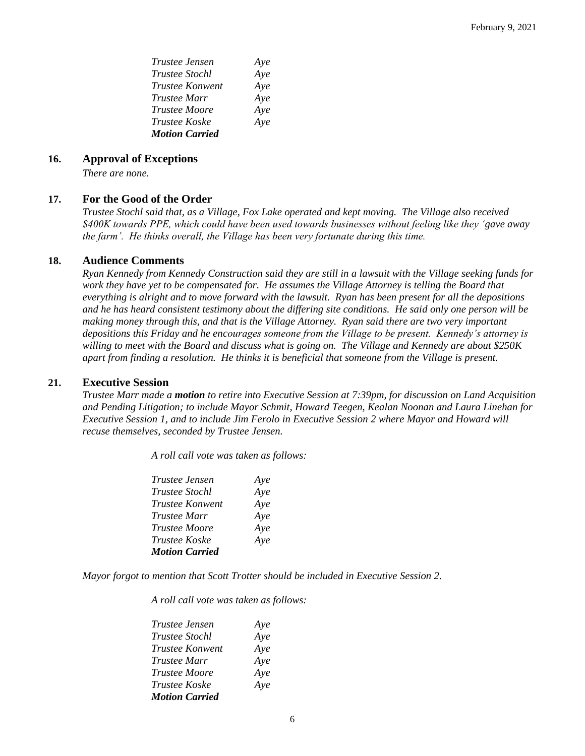| Trustee Jensen        | Aye |
|-----------------------|-----|
| <i>Trustee Stochl</i> | Aye |
| Trustee Konwent       | Aye |
| <i>Trustee Marr</i>   | Aye |
| <i>Trustee Moore</i>  | Aye |
| <i>Trustee Koske</i>  | Aye |
| <b>Motion Carried</b> |     |

#### **16. Approval of Exceptions**

*There are none.*

#### **17. For the Good of the Order**

*Trustee Stochl said that, as a Village, Fox Lake operated and kept moving. The Village also received \$400K towards PPE, which could have been used towards businesses without feeling like they 'gave away the farm'. He thinks overall, the Village has been very fortunate during this time.*

#### **18. Audience Comments**

*Ryan Kennedy from Kennedy Construction said they are still in a lawsuit with the Village seeking funds for work they have yet to be compensated for. He assumes the Village Attorney is telling the Board that everything is alright and to move forward with the lawsuit. Ryan has been present for all the depositions and he has heard consistent testimony about the differing site conditions. He said only one person will be making money through this, and that is the Village Attorney. Ryan said there are two very important depositions this Friday and he encourages someone from the Village to be present. Kennedy's attorney is willing to meet with the Board and discuss what is going on. The Village and Kennedy are about \$250K apart from finding a resolution. He thinks it is beneficial that someone from the Village is present.* 

#### **21. Executive Session**

*Trustee Marr made a motion to retire into Executive Session at 7:39pm, for discussion on Land Acquisition and Pending Litigation; to include Mayor Schmit, Howard Teegen, Kealan Noonan and Laura Linehan for Executive Session 1, and to include Jim Ferolo in Executive Session 2 where Mayor and Howard will recuse themselves, seconded by Trustee Jensen.*

*A roll call vote was taken as follows:* 

| Trustee Jensen        | Aye |
|-----------------------|-----|
| <b>Trustee Stochl</b> | Aye |
| Trustee Konwent       | Aye |
| <i>Trustee Marr</i>   | Aye |
| <i>Trustee Moore</i>  | Aye |
| <i>Trustee Koske</i>  | Aye |
| <b>Motion Carried</b> |     |

*Mayor forgot to mention that Scott Trotter should be included in Executive Session 2.*

*A roll call vote was taken as follows:* 

| <i>Trustee Jensen</i> | Aye |
|-----------------------|-----|
| <i>Trustee Stochl</i> | Aye |
| Trustee Konwent       | Aye |
| <i>Trustee Marr</i>   | Aye |
| <i>Trustee Moore</i>  | Aye |
| <i>Trustee Koske</i>  | Aye |
| <b>Motion Carried</b> |     |